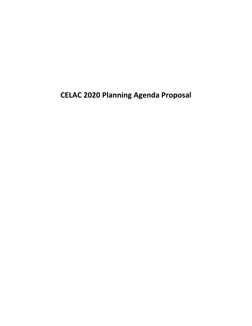**CELAC 2020 Planning Agenda Proposal**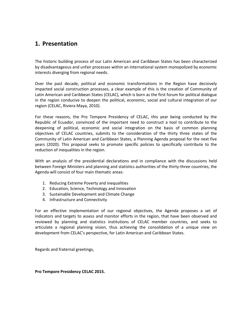## <span id="page-1-0"></span>**1. Presentation**

The historic building process of our Latin American and Caribbean States has been characterized by disadvantageous and unfair processes within an international system monopolized by economic interests diverging from regional needs.

Over the past decade, political and economic transformations in the Region have decisively impacted social construction processes, a clear example of this is the creation of Community of Latin American and Caribbean States (CELAC), which is born as the first forum for political dialogue in the region conducive to deepen the political, economic, social and cultural integration of our region (CELAC, Riviera Maya, 2010).

For these reasons, the Pro Tempore Presidency of CELAC, this year being conducted by the Republic of Ecuador, convinced of the important need to construct a tool to contribute to the deepening of political, economic and social integration on the basis of common planning objectives of CELAC countries, submits to the consideration of the thirty three states of the Community of Latin American and Caribbean States, a Planning Agenda proposal for the next five years (2020). This proposal seeks to promote specific policies to specifically contribute to the reduction of inequalities in the region.

With an analysis of the presidential declarations and in compliance with the discussions held between Foreign Ministers and planning and statistics authorities of the thirty-three countries, the Agenda will consist of four main thematic areas:

- 1. Reducing Extreme Poverty and inequalities
- 2. Education, Science, Technology and Innovation
- 3. Sustainable Development and Climate Change
- 4. Infrastructure and Connectivity

For an effective implementation of our regional objectives, the Agenda proposes a set of indicators and targets to assess and monitor efforts in the region, that have been observed and reviewed by planning and statistics institutions of CELAC member countries, and seeks to articulate a regional planning vision, thus achieving the consolidation of a unique view on development from CELAC's perspective, for Latin American and Caribbean States.

Regards and fraternal greetings,

**Pro Tempore Presidency CELAC 2015.**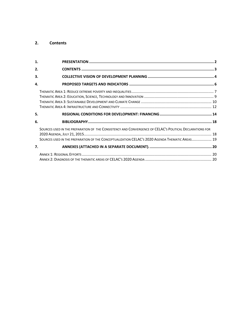### <span id="page-2-0"></span>**2. Contents**

| 1. |                                                                                                                                                                                                            |
|----|------------------------------------------------------------------------------------------------------------------------------------------------------------------------------------------------------------|
| 2. |                                                                                                                                                                                                            |
| 3. |                                                                                                                                                                                                            |
| 4. |                                                                                                                                                                                                            |
|    |                                                                                                                                                                                                            |
| 5. |                                                                                                                                                                                                            |
| 6. |                                                                                                                                                                                                            |
|    | SOURCES USED IN THE PREPARATION OF THE CONSISTENCY AND CONVERGENCE OF CELAC'S POLITICAL DECLARATIONS FOR<br>SOURCES USED IN THE PREPARATION OF THE CONCEPTUALIZATION CELAC'S 2020 AGENDA THEMATIC AREAS 19 |
| 7. |                                                                                                                                                                                                            |
|    |                                                                                                                                                                                                            |
|    |                                                                                                                                                                                                            |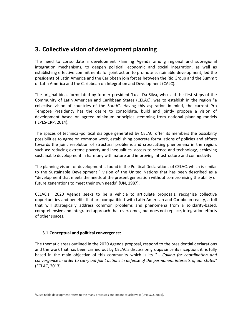# <span id="page-3-0"></span>**3. Collective vision of development planning**

The need to consolidate a development Planning Agenda among regional and subregional integration mechanisms, to deepen political, economic and social integration, as well as establishing effective commitments for joint action to promote sustainable development, led the presidents of Latin America and the Caribbean join forces between the Rio Group and the Summit of Latin America and the Caribbean on Integration and Development (CALC).

The original idea, formulated by former president 'Lula' Da Silva, who laid the first steps of the Community of Latin American and Caribbean States (CELAC), was to establish in the region "a collective vision of countries of the South". Having this aspiration in mind, the current Pro Tempore Presidency has the desire to consolidate, build and jointly propose a vision of development based on agreed minimum principles stemming from national planning models (ILPES-CRP, 2014).

The spaces of technical-political dialogue generated by CELAC, offer its members the possibility possibilities to agree on common work, establishing concrete formulations of policies and efforts towards the joint resolution of structural problems and crosscutting phenomena in the region, such as: reducing extreme poverty and inequalities, access to science and technology, achieving sustainable development in harmony with nature and improving infrastructure and connectivity.

The planning vision for development is found in the Political Declarations of CELAC, which is similar to the Sustainable Development  $^1$  vision of the United Nations that has been described as a "development that meets the needs of the present generation without compromising the ability of future generations to meet their own needs" (UN, 1987).

CELAC's 2020 Agenda seeks to be a vehicle to articulate proposals, recognize collective opportunities and benefits that are compatible t with Latin American and Caribbean reality, a toll that will strategically address common problems and phenomena from a solidarity-based, comprehensive and integrated approach that overcomes, but does not replace, integration efforts of other spaces.

## **3.1.Conceptual and political convergence:**

 $\overline{a}$ 

The thematic areas outlined in the 2020 Agenda proposal, respond to the presidential declarations and the work that has been carried out by CELAC's discussion groups since its inception; it is fully based in the main objective of this community which is its *"... Calling for coordination and convergence in order to carry out joint actions in defense of the permanent interests of our states"* (ECLAC, 2013).

 $<sup>1</sup>$ Sustainable development refers to the many processes and means to achieve it (UNESCO, 2015).</sup>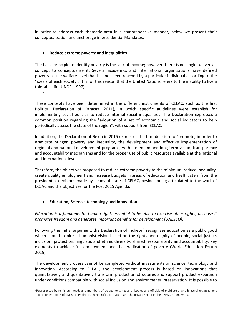In order to address each thematic area in a comprehensive manner, below we present their conceptualization and anchorage in presidential Mandates.

## **Reduce extreme poverty and inequalities**

-

 $\overline{a}$ 

The basic principle to identify poverty is the lack of income; however, there is no single -universalconcept to conceptualize it. Several academics and international organizations have defined poverty as the welfare level that has not been reached by a particular individual according to the "ideals of each society". It is for this reason that the United Nations refers to the inability to live a tolerable life (UNDP, 1997).

These concepts have been determined in the different instruments of CELAC, such as the first Political Declaration of Caracas (2011), in which specific guidelines were establish for implementing social policies to reduce internal social inequalities. The Declaration expresses a common position regarding the "adoption of a set of economic and social indicators to help periodically assess the state of the region", with support from ECLAC.

In addition, the Declaration of Belen in 2015 expresses the firm decision to "promote, in order to eradicate hunger, poverty and inequality, the development and effective implementation of regional and national development programs, with a medium and long-term vision, transparency and accountability mechanisms and for the proper use of public resources available at the national and international level".

Therefore, the objectives proposed to reduce extreme poverty to the minimum, reduce inequality, create quality employment and increase budgets in areas of education and health, stem from the presidential decisions made by heads of state of CELAC, besides being articulated to the work of ECLAC and the objectives for the Post 2015 Agenda.

## **Education, Science, technology and Innovation**

*Education is a fundamental human right, essential to be able to exercise other rights, because it promotes freedom and generates important benefits for development (UNESCO).*

Following the initial argument, the Declaration of Incheon<sup>2</sup> recognizes education as a public good which should inspire a humanist vision based on the rights and dignity of people, social justice, inclusion, protection, linguistic and ethnic diversity, shared responsibility and accountability; key elements to achieve full employment and the eradication of poverty (World Education Forum 2015).

The development process cannot be completed without investments on science, technology and innovation. According to ECLAC, the development process is based on innovations that quantitatively and qualitatively transform production structures and support product expansion under conditions compatible with social inclusion and environmental preservation. It is possible to

<sup>&</sup>lt;sup>2</sup>Represented by ministers, heads and members of delegations, heads of bodies and officials of multilateral and bilateral organizations and representatives of civil society, the teaching profession, youth and the private sector in the UNESCO framework.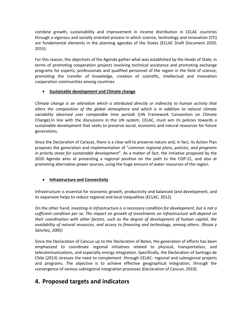combine growth, sustainability and improvement in income distribution in CELAC countries through a vigorous and socially oriented process in which science, technology and innovation (STI) are fundamental elements in the planning agendas of the States (ECLAC Draft Document 2020, 2015).

For this reason, the objectives of the Agenda gather what was established by the Heads of State, in terms of promoting cooperation projects involving technical assistance and promoting exchange programs for experts, professionals and qualified personnel of the region in the field of science, promoting the transfer of knowledge, creation of scientific, intellectual and innovation cooperation communities among countries.

## **Sustainable development and Climate change**

*Climate change is an alteration which is attributed directly or indirectly to human activity that alters the composition of the global atmosphere and which is in addition to natural climate variability observed over comparable time periods* (UN Framework Convention on Climate Change).In line with the discussions in the UN system, CELAC, must aim its policies towards a sustainable development that seeks to preserve social, economic and natural resources for future generations.

Since the Declaration of Caracas, there is a clear will to preserve nature and, in fact, its Action Plan proposes the generation and implementation of "*common regional plans, policies, and programs in priority areas for sustainable development*". As a matter of fact, the initiative proposed by the 2020 Agenda aims at presenting a regional position on the path to the COP-21, and also at promoting alternative power sources, using the huge amount of water resources of the region.

## **Infrastructure and Connectivity**

Infrastructure is essential for economic growth, productivity and balanced land development, and its expansion helps to reduce regional and local inequalities (ECLAC, 2012).

On the other hand*, investing in infrastructure is a necessary condition for development, but is not a sufficient condition per se. The impact on growth of investments on infrastructure will depend on their coordination with other factors, such as the degree of development of human capital, the availability of natural resources, and access to financing and technology, among others. (Rosas y Sánchez, 2005)*

Since the Declaration of Cancun up to the Declaration of Belen, the generation of efforts has been emphasized to coordinate regional initiatives related to physical, transportation, and telecommunications, and especially energy integration. Specifically, the Declaration of Santiago de Chile (2013) stresses the need to complement -through CELAC- regional and subregional projects and programs. The objective is to achieve effective geographical integration, through the convergence of various subregional integration processes (Declaration of Cancun, 2010).

# <span id="page-5-0"></span>**4. Proposed targets and indicators**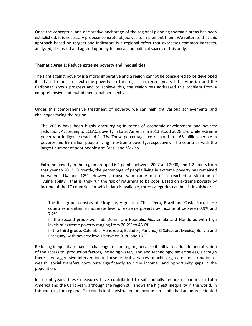Once the conceptual and declarative anchorage of the regional planning thematic areas has been established, it is necessary propose concrete objectives to implement them. We reiterate that this approach based on targets and indicators is a regional effort that expresses common interests, analyzed, discussed and agreed upon by technical and political spaces of this body.

#### <span id="page-6-0"></span>**Thematic Area 1: Reduce extreme poverty and inequalities**

The fight against poverty is a moral imperative and a region cannot be considered to be developed if it hasn't eradicated extreme poverty. In this regard, in recent years Latin America and the Caribbean shows progress and to achieve this, the region has addressed this problem from a comprehensive and multidimensional perspective.

Under this comprehensive treatment of poverty, we can highlight various achievements and challenges facing the region:

The 2000s have been highly encouraging in terms of economic development and poverty reduction. According to ECLAC, poverty in Latin America in 2013 stood at 28.1%, while extreme poverty or indigence reached 11.7%. These percentages correspond, to 165 million people in poverty and 69 million people living in extreme poverty, respectively. The countries with the largest number of poor people are: Brazil and Mexico.

Extreme poverty in the region dropped 6.4 points between 2002 and 2008, and 1.2 points from that year to 2013. Currently, the percentage of people living in extreme poverty has remained between 11% and 12%. However, those who came out of it reached a situation of "vulnerability"; that is, they run the risk of returning to be poor. Based on extreme poverty by income of the 17 countries for which data is available, three categories can be distinguished:

- The first group consists of: Uruguay, Argentina, Chile, Peru, Brazil and Costa Rica, these countries maintain a moderate level of extreme poverty by income of between 0.9% and 7.2%.
- In the second group we find: Dominican Republic, Guatemala and Honduras with high levels of extreme poverty ranging from 20.2% to 45.6%.
- In the third group: Colombia, Venezuela, Ecuador, Panama, El Salvador, Mexico, Bolivia and Paraguay, with poverty levels between 9.1% and 19.2

Reducing inequality remains a challenge for the region, because it still lacks a full democratization of the access to production factors, including water, land and technology; nevertheless, although there is no aggressive intervention in these critical variables to achieve greater redistribution of wealth, social transfers contribute significantly to close income and opportunity gaps in the population.

In recent years, these measures have contributed to substantially reduce disparities in Latin America and the Caribbean, although the region still shows the highest inequality in the world. In this context, the regional Gini coefficient constructed on income per capita had an unprecedented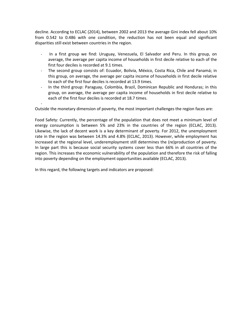decline. According to ECLAC (2014), between 2002 and 2013 the average Gini index fell about 10% from 0.542 to 0.486 with one condition, the reduction has not been equal and significant disparities still exist between countries in the region.

- In a first group we find: Uruguay, Venezuela, El Salvador and Peru. In this group, on average, the average per capita income of households in first decile relative to each of the first four deciles is recorded at 9.1 times.
- The second group consists of: Ecuador, Bolivia, México, Costa Rica, Chile and Panamá; in this group, on average, the average per capita income of households in first decile relative to each of the first four deciles is recorded at 13.9 times.
- In the third group: Paraguay, Colombia, Brazil, Dominican Republic and Honduras; in this group, on average, the average per capita income of households in first decile relative to each of the first four deciles is recorded at 18.7 times.

- Outside the monetary dimension of poverty, the most important challenges the region faces are:

Food Safety: Currently, the percentage of the population that does not meet a minimum level of energy consumption is between 5% and 23% in the countries of the region (ECLAC, 2013). Likewise, the lack of decent work is a key determinant of poverty. For 2012, the unemployment rate in the region was between 14.3% and 4.8% (ECLAC, 2013). However, while employment has increased at the regional level, underemployment still determines the (re)production of poverty. In large part this is because social security systems cover less than 66% in all countries of the region. This increases the economic vulnerability of the population and therefore the risk of falling into poverty depending on the employment opportunities available (ECLAC, 2013).

In this regard, the following targets and indicators are proposed: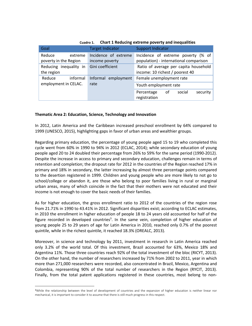| Goal                                                  | <b>Target Indicator</b>                | <b>Support Indicator</b>                                                     |
|-------------------------------------------------------|----------------------------------------|------------------------------------------------------------------------------|
| Reduce<br>extreme<br>poverty in the Region            | Incidence of extreme<br>income poverty | Incidence of extreme poverty (% of<br>population) - international comparison |
| Reducing inequality in Gini coefficient<br>the region |                                        | Ratio of average per capita household<br>income: 10 richest / poorest 40     |
| Reduce<br>informal                                    | Informal employment                    | Female unemployment rate                                                     |
| employment in CELAC.                                  | rate                                   | Youth employment rate                                                        |
|                                                       |                                        | security<br>social<br>Percentage<br>of<br>registration                       |

**Cuadro 1. Chart 1 Reducing extreme poverty and inequalities**

#### <span id="page-8-0"></span>**Thematic Area 2: Education, Science, Technology and Innovation**

In 2012, Latin America and the Caribbean increased preschool enrollment by 64% compared to 1999 (UNESCO, 2015), highlighting gaps in favor of urban areas and wealthier groups.

Regarding primary education, the percentage of young people aged 15 to 19 who completed this cycle went from 60% in 1990 to 94% in 2012 (ECLAC, 2014); while secondary education of young people aged 20 to 24 doubled their percentage from 26% to 59% for the same period (1990-2012). Despite the increase in access to primary and secondary education, challenges remain in terms of retention and completion; the dropout rate for 2012 in the countries of the Region reached 17% in primary and 18% in secondary, the latter increasing by almost three percentage points compared to the desertion registered in 1999. Children and young people who are more likely to not go to school/college or abandon it, are those who belong to poor families living in rural or marginal urban areas, many of which coincide in the fact that their mothers were not educated and their income is not enough to cover the basic needs of their families.

As for higher education, the gross enrollment ratio to 2012 of the countries of the region rose from 21.71% in 1990 to 43.41% in 2012. Significant disparities exist; according to ECLAC estimates, in 2010 the enrollment in higher education of people 18 to 24 years old accounted for half of the figure recorded in developed countries<sup>3</sup>. In the same vein, completion of higher education of young people 25 to 29 years of age for Latin America in 2010, reached only 0.7% of the poorest quintile, while in the richest quintile, it reached 18.3% (OREALC, 2013).

Moreover, in science and technology by 2011, investment in research in Latin America reached only 3.2% of the world total. Of this investment, Brazil accounted for 63%, Mexico 18% and Argentina 11%. Those three countries reach 92% of the total investment of the bloc (RICYT, 2013). On the other hand, the number of researchers increased by 71% from 2002 to 2011, year in which more than 271,000 researchers were recorded, also concentrated in Brazil, Mexico, Argentina and Colombia, representing 90% of the total number of researchers in the Region (RYCIT, 2013). Finally, from the total patent applications registered in these countries, most belong to non-

<sup>&</sup>lt;sup>3</sup>While the relationship between the level of development of countries and the expansion of higher education is neither linear nor mechanical, it is important to consider it to assume that there is still much progress in this respect.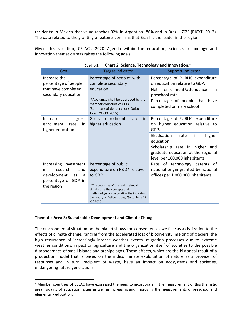residents: in Mexico that value reaches 92% in Argentina 86% and in Brazil 76% (RICYT, 2013). The data related to the granting of patents confirms that Brazil is the leader in the region.

Given this situation, CELAC's 2020 Agenda within the education, science, technology and innovation thematic areas raises the following goals:

| Goal                                                              | <b>Target Indicator</b>                                                                                                                                                                      | <b>Support Indicator</b>                                                                              |
|-------------------------------------------------------------------|----------------------------------------------------------------------------------------------------------------------------------------------------------------------------------------------|-------------------------------------------------------------------------------------------------------|
| Increase the<br>percentage of people                              | Percentage of people* with<br>complete secondary<br>education.<br>*Age range shall be approved by the<br>member countries of CELAC<br>(Summary of deliberations Quito<br>June, 29 - 30 2015) | Percentage of PUBLIC expenditure<br>on education relative to GDP.                                     |
| that have completed<br>secondary education.                       |                                                                                                                                                                                              | enrollment/attendance<br>Net.<br>in<br>preschool rate                                                 |
|                                                                   |                                                                                                                                                                                              | Percentage of people that have<br>completed primary school                                            |
| Increase<br>gross<br>enrollment<br>rate<br>in<br>higher education | Gross enrollment<br>rate<br><i>in</i><br>higher education                                                                                                                                    | Percentage of PUBLIC expenditure<br>higher education relative to<br>on<br>GDP.                        |
|                                                                   |                                                                                                                                                                                              | Graduation<br>higher<br>rate<br>in<br>education                                                       |
|                                                                   |                                                                                                                                                                                              | Scholarship rate in higher and<br>graduate education at the regional<br>level per 100,000 inhabitants |
| Increasing investment                                             | Percentage of public                                                                                                                                                                         | Rate of technology patents of                                                                         |
| research<br>and<br>in.                                            | expenditure on R&D* relative                                                                                                                                                                 | national origin granted by national                                                                   |
| development<br>as<br>a                                            | to GDP                                                                                                                                                                                       | offices per 1,000,000 inhabitants                                                                     |
| percentage of GDP in                                              |                                                                                                                                                                                              |                                                                                                       |
| the region                                                        | *The countries of the region should<br>standardize the concepts and<br>methodology for calculating the indicator<br>(summary of Deliberations, Quito June 29<br>$-302015$                    |                                                                                                       |

#### **Cuadro 2. Chart 2. Science, Technology and Innovation.<sup>4</sup>**

#### <span id="page-9-0"></span>**Thematic Area 3: Sustainable Development and Climate Change**

 $\overline{a}$ 

The environmental situation on the planet shows the consequences we face as a civilization to the effects of climate change, ranging from the accelerated loss of biodiversity, melting of glaciers, the high recurrence of increasingly intense weather events, migration processes due to extreme weather conditions, impact on agriculture and the organization itself of societies to the possible disappearance of small islands and archipelagos. These effects, which are the historical result of a production model that is based on the indiscriminate exploitation of nature as a provider of resources and in turn, recipient of waste, have an impact on ecosystems and societies, endangering future generations.

<sup>4</sup> Member countries of CELAC have expressed the need to incorporate in the measurement of this thematic area, quality of education issues as well as increasing and improving the measurements of preschool and elementary education.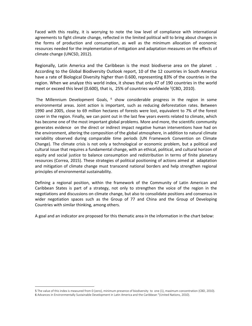Faced with this reality, it is worrying to note the low level of compliance with international agreements to fight climate change, reflected in the limited political will to bring about changes in the forms of production and consumption, as well as the minimum allocation of economic resources needed for the implementation of mitigation and adaptation measures on the effects of climate change (UNCSD, 2012).

Regionally, Latin America and the Caribbean is the most biodiverse area on the planet . According to the Global Biodiversity Outlook report, 10 of the 12 countries in South America have a rate of Biological Diversity higher than 0.600, representing 83% of the countries in the region. When we analyze this world index, it shows that only 47 of 190 countries in the world meet or exceed this level (0.600), that is, 25% of countries worldwide <sup>5</sup>(CBD, 2010).

The Millennium Development Goals, <sup>6</sup> show considerable progress in the region in some environmental areas. Joint action is important, such as reducing deforestation rates. Between 1990 and 2005, close to 69 million hectares of forests were lost, equivalent to 7% of the forest cover in the region. Finally, we can point out in the last few years events related to climate, which has become one of the most important global problems. More and more, the scientific community generates evidence on the direct or indirect impact negative human interventions have had on the environment, altering the composition of the global atmosphere, in addition to natural climate variability observed during comparable time periods (UN Framework Convention on Climate Change). The climate crisis is not only a technological or economic problem, but a political and cultural issue that requires a fundamental change, with an ethical, political, and cultural horizon of equity and social justice to balance consumption and redistribution in terms of finite planetary resources (Correa, 2015). These strategies of political positioning of actions aimed at adaptation and mitigation of climate change must transcend national borders and help strengthen regional principles of environmental sustainability.

Defining a regional position, within the framework of the Community of Latin American and Caribbean States is part of a strategy, not only to strengthen the voice of the region in the negotiations and discussions on climate change, but also to consolidate positions and consensus in wider negotiation spaces such as the Group of 77 and China and the Group of Developing Countries with similar thinking, among others.

A goal and an indicator are proposed for this thematic area in the information in the chart below:

<sup>5</sup> The value of this index is measured from 0 (zero), minimum presence of biodiversity to one (1), maximum concentration (CBD, 2010). 6 Advances in Environmentally Sustainable Development in Latin America and the Caribbean "(United Nations, 2010).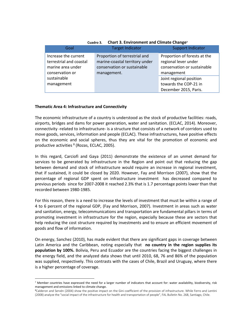| Cuadro 3.<br>Chart 3. Environment and Climate Change |                                |                              |  |  |
|------------------------------------------------------|--------------------------------|------------------------------|--|--|
| Goal                                                 | <b>Target Indicator</b>        | <b>Support Indicator</b>     |  |  |
| Increase the current                                 | Proportion of terrestrial and  | Proportion of forests at the |  |  |
| terrestrial and coastal                              | marine-coastal territory under | regional lever under         |  |  |
| marine area under                                    | conservation or sustainable    | conservation or sustainable  |  |  |
| conservation or                                      | management.                    | management                   |  |  |
| sustainable                                          |                                | Joint regional position      |  |  |
| management                                           |                                | towards the COP-21 in        |  |  |
|                                                      |                                | December 2015, Paris.        |  |  |

**Cuadro 3. Chart 3. Environment and Climate Change<sup>7</sup>**

#### <span id="page-11-0"></span>**Thematic Area 4: Infrastructure and Connectivity**

 $\ddot{\phantom{a}}$ 

The economic infrastructure of a country is understood as the stock of productive facilities: roads, airports, bridges and dams for power generation, water and sanitation. (ECLAC, 2014). Moreover, connectivity -related to infrastructure- is a structure that consists of a network of corridors used to move goods, services, information and people (ECLAC). These infrastructures, have positive effects on the economic and social spheres, thus they are vital for the promotion of economic and productive activities <sup>8</sup> (Rozas, ECLAC, 2005).

In this regard, Carciofi and Gaya (2011) demonstrate the existence of an unmet demand for services to be generated by infrastructure in the Region and point out that reducing the gap between demand and stock of infrastructure would require an increase in regional investment, that if sustained, it could be closed by 2020. However, Fay and Morrison (2007), show that the percentage of regional GDP spent on infrastructure investment has decreased compared to previous periods since for 2007-2008 it reached 2.3% that is 1.7 percentage points lower than that recorded between 1980-1985.

For this reason, there is a need to increase the levels of investment that must be within a range of 4 to 6 percent of the regional GDP, (Fay and Morrison, 2007). Investment in areas such as water and sanitation, energy, telecommunications and transportation are fundamental pillars in terms of promoting investment in infrastructure for the region, especially because these are sectors that help reducing the cost structure required by investments and to ensure an efficient movement of goods and flow of information.

On energy, Sanchez (2010), has made evident that there are significant gaps in coverage between Latin America and the Caribbean, noting especially that **no country in the region supplies its population by 100%.** Bolivia, Peru and Ecuador are the countries facing the biggest challenges in the energy field, and the analyzed data shows that until 2010, 68, 76 and 86% of the population was supplied, respectively. This contrasts with the cases of Chile, Brazil and Uruguay, where there is a higher percentage of coverage.

<sup>&</sup>lt;sup>7</sup> Member countries have expressed the need for a larger number of indicators that account for: water availability, biodiversity, risk management and emissions linked to climate change.

<sup>8</sup>Calderon and Servén (2004) show the positive impact on the Gini coefficient of the provision of infrastructure. While Ferro and Lentini (2008) analyze the "social impact of the infrastructure for health and transportation of people", FAL Bulletin No. 268, Santiago, Chile.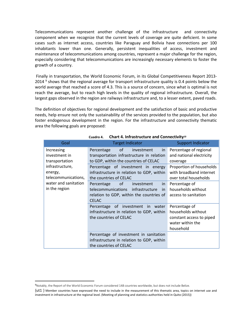Telecommunications represent another challenge of the infrastructure and connectivity component when we recognize that the current levels of coverage are quite deficient. In some cases such as internet access, countries like Paraguay and Bolivia have connections per 100 inhabitants lower than one. Generally, persistent inequalities of access, investment and maintenance of telecommunications among countries, represent a major challenge for the region, especially considering that telecommunications are increasingly necessary elements to foster the growth of a country.

Finally in transportation, the World Economic Forum, in its Global Competitiveness Report 2013- 2014  $9$  shows that the regional average for transport infrastructure quality is 0.4 points below the world average that reached a score of 4.3. This is a source of concern, since what is optimal is not reach the average, but to reach high levels in the quality of regional infrastructure. Overall, the largest gaps observed in the region are railways infrastructure and, to a lesser extent, paved roads.

The definition of objectives for regional development and the satisfaction of basic and productive needs, help ensure not only the sustainability of the services provided to the population, but also foster endogenous development in the region. For the infrastructure and connectivity thematic area the following goals are proposed:

| Goal                                                                                               | <b>Target Indicator</b>                                                                                                                                                                                                                                   | <b>Support Indicator</b>                                                                         |
|----------------------------------------------------------------------------------------------------|-----------------------------------------------------------------------------------------------------------------------------------------------------------------------------------------------------------------------------------------------------------|--------------------------------------------------------------------------------------------------|
| Increasing<br>investment in<br>transportation<br>infrastructure,<br>energy,<br>telecommunications, | of a<br>investment<br>Percentage<br>in.<br>transportation infrastructure in relation<br>to GDP, within the countries of CELAC                                                                                                                             | Percentage of regional<br>and national electricity<br>coverage                                   |
|                                                                                                    | Percentage of investment in energy<br>infrastructure in relation to GDP, within<br>the countries of CELAC                                                                                                                                                 | Proportion of households<br>with broadband internet<br>over total households                     |
| water and sanitation<br>in the region                                                              | of the contract of the contract of the contract of the contract of the contract of the contract of the contract<br>investment<br>Percentage<br>in.<br>telecommunications infrastructure<br>in<br>relation to GDP, within the countries of<br><b>CELAC</b> | Percentage of<br>households without<br>access to sanitation                                      |
|                                                                                                    | Percentage of investment in water<br>infrastructure in relation to GDP, within<br>the countries of CELAC                                                                                                                                                  | Percentage of<br>households without<br>constant access to piped<br>water within the<br>household |
|                                                                                                    | Percentage of investment in sanitation<br>infrastructure in relation to GDP, within<br>the countries of CELAC                                                                                                                                             |                                                                                                  |

#### **Cuadro 4. Chart 4. Infrastructure and Connectivity<sup>10</sup>**

<sup>9</sup>Notably, the Report of the World Economic Forum considered 148 countries worldwide, but does not include Belize.

<sup>{</sup>ut1 } Member countries have expressed the need to include in the measurement of this thematic area, topics on internet use and investment in infrastructure at the regional level. (Meeting of planning and statistics authorities held in Quito (2015))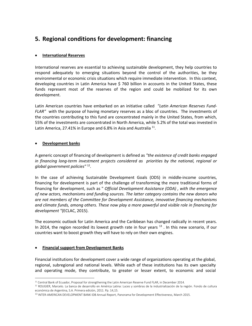# <span id="page-13-0"></span>**5. Regional conditions for development: financing**

## **International Reserves**

International reserves are essential to achieving sustainable development, they help countries to respond adequately to emerging situations beyond the control of the authorities, be they environmental or economic crisis situations which require immediate intervention. In this context, developing countries in Latin America have \$ 760 billion in accounts in the United States, these funds represent most of the reserves of the region and could be mobilized for its own development.

Latin American countries have embarked on an initiative called *"Latin American Reserves Fund-FLAR"* with the purpose of having monetary reserves as a bloc of countries. The investments of the countries contributing to this fund are concentrated mainly in the United States, from which, 55% of the investments are concentrated in North America, while 5.2% of the total was invested in Latin America, 27.41% in Europe and 6.8% in Asia and Australia<sup>11</sup>.

## **Development banks**

 $\overline{a}$ 

A generic concept of financing of development is defined as *"the existence of credit banks engaged in financing long-term investment projects considered as priorities by the national, regional or global government policies"* <sup>12</sup> .

In the case of achieving Sustainable Development Goals (ODS) in middle-income countries, financing for development is part of the challenge of transforming the more traditional forms of financing for development, such as " *Official Development Assistance (ODA) , with the emergence of new actors, mechanisms and funding sources. The latter category contains the new donors who are not members of the Committee for Development Assistance, innovative financing mechanisms and climate funds, among others. These now play a more powerful and visible role in financing for development "*(ECLAC, 2015).

The economic outlook for Latin America and the Caribbean has changed radically in recent years. In 2014, the region recorded its lowest growth rate in four years  $^{13}$  . In this new scenario, if our countries want to boost growth they will have to rely on their own engines.

## **Financial support from Development Banks**

Financial institutions for development cover a wide range of organizations operating at the global, regional, subregional and national levels. While each of these institutions has its own specialty and operating mode, they contribute, to greater or lesser extent, to economic and social

<sup>&</sup>lt;sup>11</sup> Central Bank of Ecuador, Proposal for strengthening the Latin American Reserve Fund FLAR, in December 2014.

<sup>12</sup> ROUGIER, Marcelo. La banca de desarrollo en América Latina: Luces y sombras de la industrialización de la región. Fondo de cultura económica de Argentina, S.A. Primera edición, 2011. Pp. 14,15.

<sup>13</sup> INTER-AMERICAN DEVELOPMENT BANK IDB Annual Report, Panorama for Development Effectiveness, March 2015.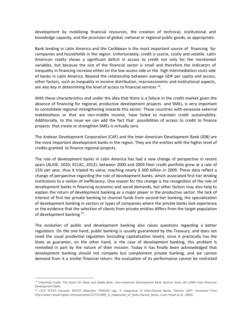development by mobilizing financial resources, the creation of technical, institutional and knowledge capacity, and the provision of global, national or regional public goods, as appropriate.

Bank lending in Latin America and the Caribbean is the most important source of financing for companies and households in the region. Unfortunately, credit is scarce, costly and volatile. Latin American reality shows a significant deficit in access to credit not only for the mentioned variables, but because the size of the financial sector is small and therefore the indicators of inequality in financing increase either on the low access side or the high intermediation costs side of banks in Latin America. Beyond the relationship between average GDP per capita and access, other factors, such as inequality in income distribution, macroeconomic and institutional aspects, are also key in determining the level of access to financial services<sup>14</sup>.

With these characteristics and under the idea that there is a failure in the credit market given the absence of financing for regional, productive development projects and SMEs, is very important to consolidate regional strengthening towards this sector. Those countries with excessive external indebtedness or that are non-middle income, have failed to maintain credit sustainability. Additionally, to this issue we can add the fact that possibilities of access to credit to finance projects that create or strengthen SMEs is virtually zero.

The Andean Development Corporation (CAF) and the Inter-American Development Bank (IDB) are the most important development banks in the region. They are the entities with the higher level of credits granted to finance regional projects.

The role of development banks in Latin America has had a new change of perspective in recent years (ALIDE, 2010; ECLAC, 2012): between 2000 and 2009 their credit portfolio grew at a rate of 15% per year, thus it tripled its value, reaching nearly \$ 600 billion in 2009. These data reflect a change of perspective regarding the role of development banks, which associated first tier lending institutions to a notion of inefficiency. One reason for this change is the recognition of the role of development banks in financing economic and social demands, but other factors may also help to explain the return of development banking as a major player in the productive sector: the lack of interest of first tier private banking to channel funds from second-tier banking, the specialization of development banking in sectors or types of companies where the private banks lack experience or the evidence that the selection of clients from private entities differs from the target population of development banking <sup>15</sup>.

The evolution of public and development banking also raises questions regarding a better regulation. On the one hand, public banking is usually guaranteed by the Treasury, and does not need the usual prudential regulation (including capitalization levels), since it practically has the State as guarantor, on the other hand, in the case of development banking, this problem is remedied in part by the nature of their mission. Today it has finally been acknowledged that development banking should not compete but complement private banking, and we cannot demand from it a similar financial return: the evaluation of its performance cannot be restricted

<sup>14</sup> Unlocking Credit: The Quest for Deep and Stable Bank, Inter-American Development Bank, Buenos Aires, AR c2004 Inter-American Development Bank.

<sup>15</sup> LEVY YEYATI Eduardo, MICCO Alejandro, PANIZZA Ugo, A reappraisal of State-Owned Banks, Febrero 2007, recovered from http://www.researchgate.net/publication/227351089\_A\_reappraisal\_of\_State-Owned\_Banks. (Levy-Yeyati et al., 2004).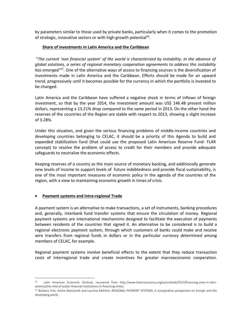by parameters similar to those used by private banks, particularly when it comes to the promotion of strategic, innovative sectors or with high growth potential<sup>16</sup>.

### **Share of investments in Latin America and the Caribbean**

"*The current 'non financial system' of the world is characterized by instability. In the absence of global solutions, a series of regional monetary cooperation agreements to address this instability* has emerged<sup>117</sup>. One of the alternative ways of access to financing sources is the diversification of investments made in Latin America and the Caribbean. Efforts should be made for an upward trend, progressively until it becomes possible for the currency in which the portfolio is invested to be changed.

Latin America and the Caribbean have suffered a negative shock in terms of inflows of foreign investment, so that by the year 2014, the investment amount was US\$ 146.48 present million dollars, representing a 13.21% drop compared to the same period in 2013. On the other hand the reserves of the countries of the Region are stable with respect to 2013, showing a slight increase of 3.28%.

Under this situation, and given the serious financing problems of middle-income countries and developing countries belonging to CELAC, it should be a priority of this Agenda to build and expanded stabilization fund (that could use the proposed Latin American Reserve Fund- FLAR concept) to resolve the problem of access to credit for their members and provide adequate safeguards to neutralize the economic effects.

Keeping reserves of a country as the main source of monetary backing, and additionally generate new levels of income to support levels of future indebtedness and provide fiscal sustainability, is one of the most important measures of economic policy in the agenda of the countries of the region, with a view to maintaining economic growth in times of crisis.

#### **Payment systems and Intra-regional Trade**

 $\overline{a}$ 

A payment system is an alternative to make transactions, a set of instruments, banking procedures and, generally, interbank fund transfer systems that ensure the circulation of money. Regional payment systems are international mechanisms designed to facilitate the execution of payments between residents of the countries that signed it. An alternative to be considered is to build a regional electronic payment system, through which customers of banks could make and receive wire transfers from regional funds in dollars or in the particular currency determined among members of CELAC, for example.

Regional payment systems involve beneficial effects to the extent that they reduce transaction costs of interregional trade and create incentives for greater macroeconomic cooperation.

<sup>16</sup> Latin American Economic Outlook, recovered from http://www.latameconomy.org/es/outlook/2013/financing-smes-in-latinamerica/the-role-of-public-financial-institutions-in-financing-smes/.

<sup>&</sup>lt;sup>17</sup> Barbara Fritz, Andre Biancarelli and Laurissa Mühlich, REGIONAL PAYMENT SYSTEMS, A comparative perspective on Europe and the developing world.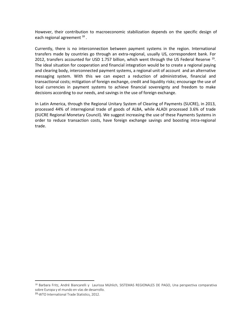However, their contribution to macroeconomic stabilization depends on the specific design of each regional agreement <sup>18</sup>.

Currently, there is no interconnection between payment systems in the region. International transfers made by countries go through an extra-regional, usually US, correspondent bank. For 2012, transfers accounted for USD 1.757 billion, which went through the US Federal Reserve<sup>19</sup>. The ideal situation for cooperation and financial integration would be to create a regional paying and clearing body, interconnected payment systems, a regional unit of account and an alternative messaging system. With this we can expect a reduction of administrative, financial and transactional costs; mitigation of foreign exchange, credit and liquidity risks; encourage the use of local currencies in payment systems to achieve financial sovereignty and freedom to make decisions according to our needs, and savings in the use of foreign exchange.

In Latin America, through the Regional Unitary System of Clearing of Payments (SUCRE), in 2013, processed 44% of interregional trade of goods of ALBA, while ALADI processed 3.6% of trade (SUCRE Regional Monetary Council). We suggest increasing the use of these Payments Systems in order to reduce transaction costs, have foreign exchange savings and boosting intra-regional trade.

<sup>&</sup>lt;sup>18</sup> Barbara Fritz, André Biancarelli y Laurissa Mühlich, SISTEMAS REGIONALES DE PAGO, Una perspectiva comparativa sobre Europa y el mundo en vías de desarrollo.

<sup>19</sup> -WTO International Trade Statistics, 2012.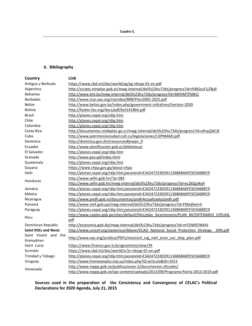## <span id="page-17-0"></span>**6. Bibliography**

| Country                      | Link                                                                                     |
|------------------------------|------------------------------------------------------------------------------------------|
| Antigua y Barbuda            | https://www.cbd.int/doc/world/ag/ag-nbsap-01-en.pdf                                      |
| Argentina                    | http://scripts.minplan.gob.ar/mwg-internal/de5fs23hu73ds/progress?id=fVBGzuF1j7&dl       |
| <b>Bahamas</b>               | http://www.bnt.bs/mwg-internal/de5fs23hu73ds/progress?id=MHhMTFMkCj                      |
| <b>Barbados</b>              | http://www.sice.oas.org/ctyindex/BRB/Plan2005-2025.pdf                                   |
| <b>Belize</b>                | http://www.belize.gov.bz/index.php/government-initiatives/horizon-2030                   |
| <b>Bolivia</b>               | http://faolex.fao.org/docs/pdf/bol141864.pdf                                             |
| <b>Brazil</b>                | http://planes.cepal.org/rdip.htm                                                         |
| Chile                        | http://planes.cepal.org/rdip.htm                                                         |
| Colombia                     | http://planes.cepal.org/rdip.htm                                                         |
| Costa Rica                   | http://documentos.mideplan.go.cr/mwg-internal/de5fs23hu73ds/progress?id=yfnq2jACJE       |
| Cuba                         | http://www.patrimoniociudad.cult.cu/legislaciones/13PNMAD.pdf                            |
| Dominica                     | http://dominica.gov.dm/resources#jnwpv 9                                                 |
| Ecuador                      | http://www.planificacion.gob.ec/biblioteca/                                              |
| El Salvador                  | http://planes.cepal.org/rdip.htm                                                         |
| Granada                      | http://www.gov.gd/index.html                                                             |
| Guatemala                    | http://planes.cepal.org/rdip.htm                                                         |
| Guyana                       | https://www.chpa.gov.gy/about-chpa                                                       |
| Haiti                        | http://planes.cepal.org/rdip.htm;jsessionid=E34247233ED9113686BA0FE5E56689C9             |
| <b>Honduras</b>              | http://www.sefin.gob.hn/?p=284                                                           |
|                              | http://www.sefin.gob.hn/mwg-internal/de5fs23hu73ds/progress?id=ec2kQyJ4yH                |
| Jamaica                      | http://planes.cepal.org/rdip.htm;jsessionid=E34247233ED9113686BA0FE5E56689C9             |
| México                       | http://planes.cepal.org/rdip.htm;jsessionid=E34247233ED9113686BA0FE5E56689C9             |
| Nicaragua                    | http://www.pndh.gob.ni/documentos/pndhActualizado/pndh.pdf                               |
| Panamá                       | http://www.mef.gob.pa/mwg-internal/de5fs23hu73ds/progress?id=FMeijfwJ+h                  |
| Paraguay                     | http://planes.cepal.org/rdip.htm;jsessionid=E34247233ED9113686BA0FE5E56689C9             |
|                              | http://www.ceplan.gob.pe/sites/default/files/plan_bicentenario/PLAN_BICENTENARIO_CEPLAN. |
| Peru                         | pdf                                                                                      |
| Dominican Republic           | http://economia.gob.do/mwg-internal/de5fs23hu73ds/progress?id=mTOW0TWkFk                 |
| <b>Saint Kitts and Nevis</b> | http://www.unicef.org/easterncaribbean/ECAO National Social Protection Strategy SKN.pdf  |
| Saint Vicent and the         |                                                                                          |
| Grenadines                   | http://www.oas.org/juridico/PDFs/mesicic4 svg natl econ soc dvlp plan.pdf                |
| Saint Lucia                  | https://www.finance.gov.lc/programmes/view/39                                            |
| Surinam                      | https://www.cbd.int/doc/world/sr/sr-nbsap-01-en.pdf                                      |
| Trinidad y Tobago            | http://planes.cepal.org/rdip.htm;jsessionid=E34247233ED9113686BA0FE5E56689C9             |
| Uruguay                      | http://www.frenteamplio.org.uy/index.php?Q=articulo&ID=1013                              |
|                              | http://www.mppp.gob.ve/publicaciones-2/documentos-oficiales/                             |
| Venezuela                    | http://www.mppp.gob.ve/wp-content/uploads/2013/09/Programa-Patria-2013-2019.pdf          |

<span id="page-17-1"></span>**Sources used in the preparation of the Consistency and Convergence of CELAC's Political Declarations for 2020 Agenda, July 21, 2015**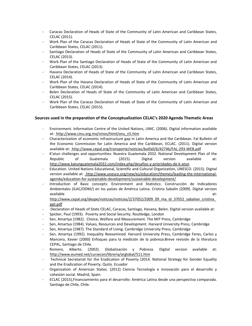- Caracas Declaration of Heads of State of the Community of Latin American and Caribbean States, CELAC (2011).
- Work Plan of the Caracas Declaration of Heads of State of the Community of Latin American and Caribbean States, CELAC (2011).
- Santiago Declaration of Heads of State of the Community of Latin American and Caribbean States, CELAC (2013).
- Work Plan of the Santiago Declaration of Heads of State of the Community of Latin American and Caribbean States, CELAC (2013).
- Havana Declaration of Heads of State of the Community of Latin American and Caribbean States, CELAC (2014).
- Work Plan of the Havana Declaration of Heads of State of the Community of Latin American and Caribbean States, CELAC (2014).
- Belen Declaration of Heads of State of the Community of Latin American and Caribbean States, CELAC (2015).
- Work Plan of the Caracas Declaration of Heads of State of the Community of Latin American and Caribbean States, CELAC (2015).

#### <span id="page-18-0"></span>**Sources used in the preparation of the Conceptualization CELAC's 2020 Agenda Thematic Areas**

- Environment. Information Centre of the United Nations, UNIC. (2006). Digital information available at: [http://www.cinu.org.mx/ninos/html/onu\\_n5.htm](http://www.cinu.org.mx/ninos/html/onu_n5.htm)
- Characterization of economic infrastructure gap in Latin America and the Caribbean. Fal Bulletin of the Economic Commission for Latin America and the Caribbean, ECLAC. (2011). Digital version available at: <http://www.cepal.org/transporte/noticias/bolfall/6/42746/FAL-293-WEB.pdf>
- K'atun challenges and opportunities: Nuestra Guatemala 2032. National Development Plan of the Republic of Guatemala (2015). Digital version available at: <http://www.katunguatemala2032.com/index.php/desafios-y-prioridades-de-k-atun>
- Education. United Nations Educational, Scientific and Cultural Organization, UNESCO. (2015). Digital version available at: [http://www.unesco.org/new/es/education/themes/leading-the-international](http://www.unesco.org/new/es/education/themes/leading-the-international-agenda/education-for-sustainable-development/sustainable-development/)[agenda/education-for-sustainable-development/sustainable-development/](http://www.unesco.org/new/es/education/themes/leading-the-international-agenda/education-for-sustainable-development/sustainable-development/)
- Introduction of Basic concepts: Environment and Statistics: Construcción de Indicadores Ambientales (ILAC/ODM/) en los países de América Latina. Cristina Sabalin (2009). Digital version available  $\qquad \qquad \text{at:}$  $\qquad \qquad \text{at:}$  $\qquad \qquad \text{at:}$

http://www.cepal.org/deype/noticias/noticias/2/37052/2009\_09\_ma\_id\_37052\_sabalian\_cristina [ppt.pdf](http://www.cepal.org/deype/noticias/noticias/2/37052/2009_09_ma_id_37052_sabalian_cristina_ppt.pdf)

- Declaration of Heads of State CELAC, Caracas, Santiago, Havana, Belen. Digital version available at:
- Spicker, Paul (1993). Poverty and Social Security. Routledge, London
- Sen, Amartya (1982). Choice, Welfare and Measurement. The MIT Press, Cambridge
- Sen, Amartya (1984). Values, Resources and Development. Harvard University Press, Cambridge
- Sen, Amartya (1987). The Standard of Living. Cambridge University Press, Cambridge
- Sen, Amartya (1992). Inequality Reexamined. Harvard University Press, Cambridge Feres, Carlos y Mancero, Xavier (2000) Enfoques para la medición de la pobreza:Breve revisión de la literatura CEPAL, Santiago de Chile.
- Romero, Alberto. (2002). Globalización y Pobreza. Digital version available at[:](http://www.eumed.net/cursecon/libreria/arglobal/511.htm) <http://www.eumed.net/cursecon/libreria/arglobal/511.htm>
- Technical Secretariat for the Eradication of Poverty (2014. National Strategy for Gender Equality and the Eradication of Poverty. Quito. Ecuador
- Organization of American States. (2012) Ciencia Tecnología e innovación para el desarrollo y cohesión social. Madrid, Spain.
- ECLAC (2015),Financiamiento para el desarrollo: América Latina desde una perspectiva comparada. Santiago de Chile, Chile.